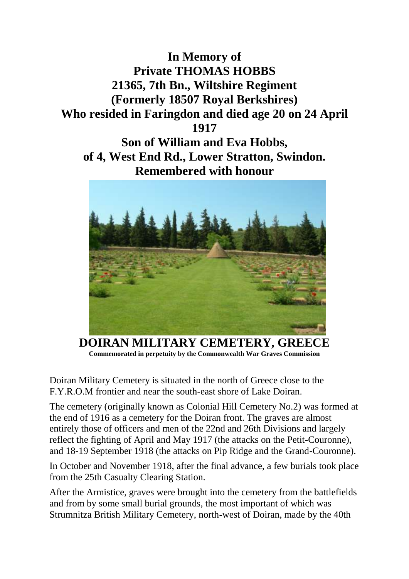

Doiran Military Cemetery is situated in the north of Greece close to the F.Y.R.O.M frontier and near the south-east shore of Lake Doiran.

The cemetery (originally known as Colonial Hill Cemetery No.2) was formed at the end of 1916 as a cemetery for the Doiran front. The graves are almost entirely those of officers and men of the 22nd and 26th Divisions and largely reflect the fighting of April and May 1917 (the attacks on the Petit-Couronne), and 18-19 September 1918 (the attacks on Pip Ridge and the Grand-Couronne).

**DOIRAN MILITARY CEMETERY, GREECE Commemorated in perpetuity by the Commonwealth War Graves Commission** 

In October and November 1918, after the final advance, a few burials took place from the 25th Casualty Clearing Station.

After the Armistice, graves were brought into the cemetery from the battlefields and from by some small burial grounds, the most important of which was Strumnitza British Military Cemetery, north-west of Doiran, made by the 40th